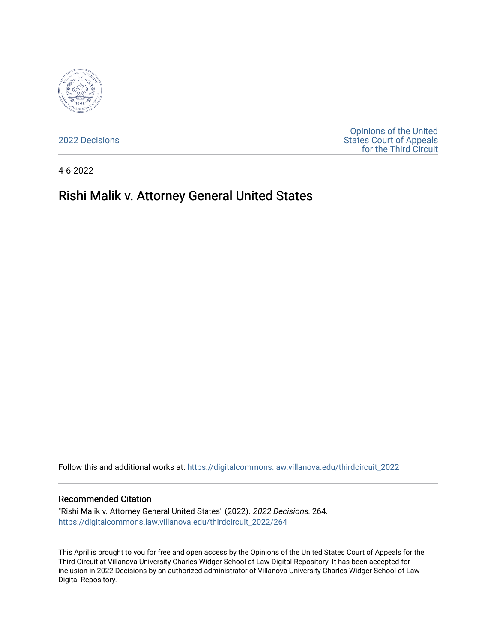

[2022 Decisions](https://digitalcommons.law.villanova.edu/thirdcircuit_2022)

[Opinions of the United](https://digitalcommons.law.villanova.edu/thirdcircuit)  [States Court of Appeals](https://digitalcommons.law.villanova.edu/thirdcircuit)  [for the Third Circuit](https://digitalcommons.law.villanova.edu/thirdcircuit) 

4-6-2022

# Rishi Malik v. Attorney General United States

Follow this and additional works at: [https://digitalcommons.law.villanova.edu/thirdcircuit\\_2022](https://digitalcommons.law.villanova.edu/thirdcircuit_2022?utm_source=digitalcommons.law.villanova.edu%2Fthirdcircuit_2022%2F264&utm_medium=PDF&utm_campaign=PDFCoverPages) 

#### Recommended Citation

"Rishi Malik v. Attorney General United States" (2022). 2022 Decisions. 264. [https://digitalcommons.law.villanova.edu/thirdcircuit\\_2022/264](https://digitalcommons.law.villanova.edu/thirdcircuit_2022/264?utm_source=digitalcommons.law.villanova.edu%2Fthirdcircuit_2022%2F264&utm_medium=PDF&utm_campaign=PDFCoverPages)

This April is brought to you for free and open access by the Opinions of the United States Court of Appeals for the Third Circuit at Villanova University Charles Widger School of Law Digital Repository. It has been accepted for inclusion in 2022 Decisions by an authorized administrator of Villanova University Charles Widger School of Law Digital Repository.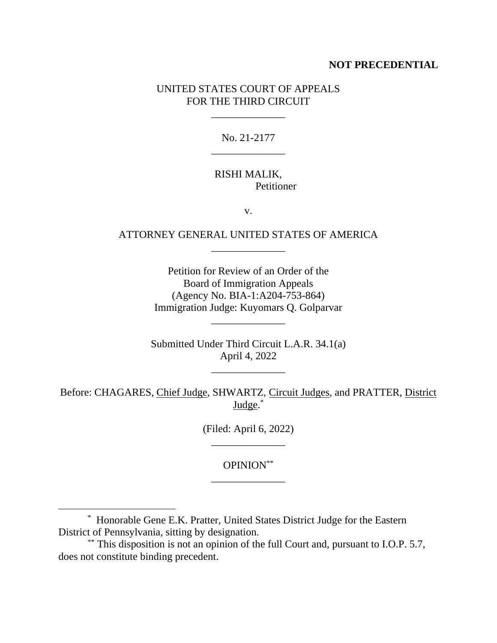## **NOT PRECEDENTIAL**

# UNITED STATES COURT OF APPEALS FOR THE THIRD CIRCUIT

\_\_\_\_\_\_\_\_\_\_\_\_\_\_

No. 21-2177 \_\_\_\_\_\_\_\_\_\_\_\_\_\_

## RISHI MALIK, Petitioner

v.

# ATTORNEY GENERAL UNITED STATES OF AMERICA \_\_\_\_\_\_\_\_\_\_\_\_\_\_

Petition for Review of an Order of the Board of Immigration Appeals (Agency No. BIA-1:A204-753-864) Immigration Judge: Kuyomars Q. Golparvar

Submitted Under Third Circuit L.A.R. 34.1(a) April 4, 2022

\_\_\_\_\_\_\_\_\_\_\_\_\_\_

\_\_\_\_\_\_\_\_\_\_\_\_\_\_

Before: CHAGARES, Chief Judge, SHWARTZ, Circuit Judges, and PRATTER, District Judge.<sup>\*</sup>

> (Filed: April 6, 2022) \_\_\_\_\_\_\_\_\_\_\_\_\_\_

> > OPINION\*\* \_\_\_\_\_\_\_\_\_\_\_\_\_\_

\* Honorable Gene E.K. Pratter, United States District Judge for the Eastern District of Pennsylvania, sitting by designation.

<sup>\*\*</sup> This disposition is not an opinion of the full Court and, pursuant to I.O.P. 5.7, does not constitute binding precedent.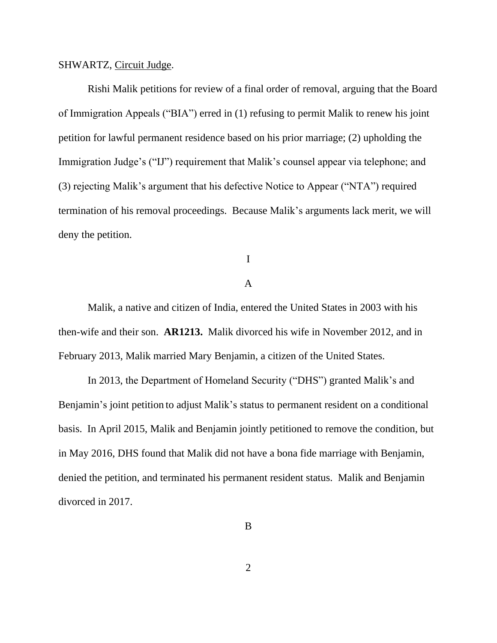#### SHWARTZ, Circuit Judge.

Rishi Malik petitions for review of a final order of removal, arguing that the Board of Immigration Appeals ("BIA") erred in (1) refusing to permit Malik to renew his joint petition for lawful permanent residence based on his prior marriage; (2) upholding the Immigration Judge's ("IJ") requirement that Malik's counsel appear via telephone; and (3) rejecting Malik's argument that his defective Notice to Appear ("NTA") required termination of his removal proceedings. Because Malik's arguments lack merit, we will deny the petition.

I

## A

Malik, a native and citizen of India, entered the United States in 2003 with his then-wife and their son. **AR1213.** Malik divorced his wife in November 2012, and in February 2013, Malik married Mary Benjamin, a citizen of the United States.

In 2013, the Department of Homeland Security ("DHS") granted Malik's and Benjamin's joint petition to adjust Malik's status to permanent resident on a conditional basis. In April 2015, Malik and Benjamin jointly petitioned to remove the condition, but in May 2016, DHS found that Malik did not have a bona fide marriage with Benjamin, denied the petition, and terminated his permanent resident status. Malik and Benjamin divorced in 2017.

B

2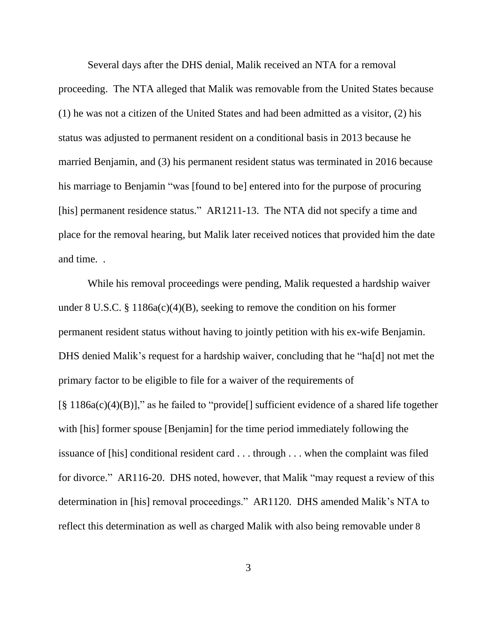Several days after the DHS denial, Malik received an NTA for a removal proceeding. The NTA alleged that Malik was removable from the United States because (1) he was not a citizen of the United States and had been admitted as a visitor, (2) his status was adjusted to permanent resident on a conditional basis in 2013 because he married Benjamin, and (3) his permanent resident status was terminated in 2016 because his marriage to Benjamin "was [found to be] entered into for the purpose of procuring [his] permanent residence status." AR1211-13. The NTA did not specify a time and place for the removal hearing, but Malik later received notices that provided him the date and time. .

While his removal proceedings were pending, Malik requested a hardship waiver under 8 U.S.C. § 1186a(c)(4)(B), seeking to remove the condition on his former permanent resident status without having to jointly petition with his ex-wife Benjamin. DHS denied Malik's request for a hardship waiver, concluding that he "ha[d] not met the primary factor to be eligible to file for a waiver of the requirements of  $[\S 1186a(c)(4)(B)]$ ," as he failed to "provide<sup>[]</sup> sufficient evidence of a shared life together with [his] former spouse [Benjamin] for the time period immediately following the issuance of [his] conditional resident card . . . through . . . when the complaint was filed for divorce." AR116-20. DHS noted, however, that Malik "may request a review of this determination in [his] removal proceedings." AR1120. DHS amended Malik's NTA to reflect this determination as well as charged Malik with also being removable under 8

3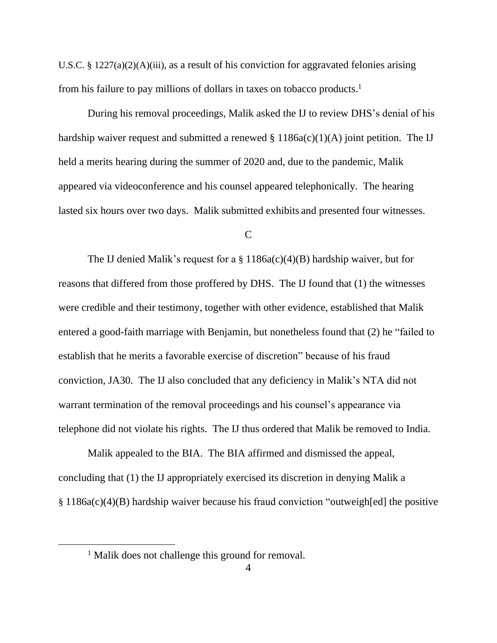U.S.C. § 1227(a)(2)(A)(iii), as a result of his conviction for aggravated felonies arising from his failure to pay millions of dollars in taxes on tobacco products.<sup>1</sup>

During his removal proceedings, Malik asked the IJ to review DHS's denial of his hardship waiver request and submitted a renewed  $\S 1186a(c)(1)(A)$  joint petition. The IJ held a merits hearing during the summer of 2020 and, due to the pandemic, Malik appeared via videoconference and his counsel appeared telephonically. The hearing lasted six hours over two days.Malik submitted exhibits and presented four witnesses.

 $\mathcal{C}$ 

The IJ denied Malik's request for a  $\S$  1186a(c)(4)(B) hardship waiver, but for reasons that differed from those proffered by DHS. The IJ found that (1) the witnesses were credible and their testimony, together with other evidence, established that Malik entered a good-faith marriage with Benjamin, but nonetheless found that (2) he "failed to establish that he merits a favorable exercise of discretion" because of his fraud conviction, JA30. The IJ also concluded that any deficiency in Malik's NTA did not warrant termination of the removal proceedings and his counsel's appearance via telephone did not violate his rights. The IJ thus ordered that Malik be removed to India.

Malik appealed to the BIA. The BIA affirmed and dismissed the appeal, concluding that (1) the IJ appropriately exercised its discretion in denying Malik a § 1186a(c)(4)(B) hardship waiver because his fraud conviction "outweigh[ed] the positive

<sup>&</sup>lt;sup>1</sup> Malik does not challenge this ground for removal.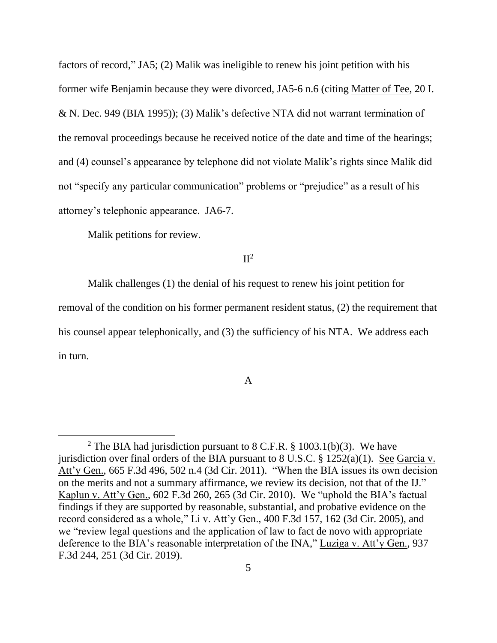factors of record," JA5; (2) Malik was ineligible to renew his joint petition with his former wife Benjamin because they were divorced, JA5-6 n.6 (citing Matter of Tee, 20 I. & N. Dec. 949 (BIA 1995)); (3) Malik's defective NTA did not warrant termination of the removal proceedings because he received notice of the date and time of the hearings; and (4) counsel's appearance by telephone did not violate Malik's rights since Malik did not "specify any particular communication" problems or "prejudice" as a result of his attorney's telephonic appearance. JA6-7.

Malik petitions for review.

 $\Pi^2$ 

Malik challenges (1) the denial of his request to renew his joint petition for removal of the condition on his former permanent resident status, (2) the requirement that his counsel appear telephonically, and (3) the sufficiency of his NTA. We address each in turn.

## A

<sup>&</sup>lt;sup>2</sup> The BIA had jurisdiction pursuant to 8 C.F.R. § 1003.1(b)(3). We have jurisdiction over final orders of the BIA pursuant to 8 U.S.C.  $\S$  1252(a)(1). See Garcia v. Att'y Gen., 665 F.3d 496, 502 n.4 (3d Cir. 2011). "When the BIA issues its own decision on the merits and not a summary affirmance, we review its decision, not that of the IJ." Kaplun v. Att'y Gen., 602 F.3d 260, 265 (3d Cir. 2010). We "uphold the BIA's factual findings if they are supported by reasonable, substantial, and probative evidence on the record considered as a whole," Li v. Att'y Gen., 400 F.3d 157, 162 (3d Cir. 2005), and we "review legal questions and the application of law to fact de novo with appropriate deference to the BIA's reasonable interpretation of the INA," Luziga v. Att'y Gen., 937 F.3d 244, 251 (3d Cir. 2019).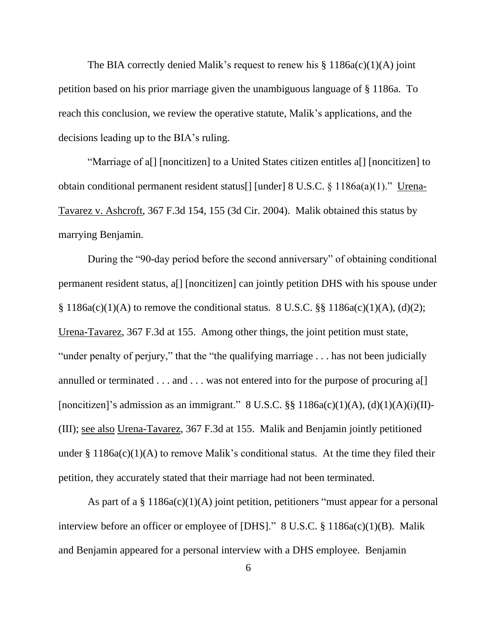The BIA correctly denied Malik's request to renew his  $\S 1186a(c)(1)(A)$  joint petition based on his prior marriage given the unambiguous language of § 1186a. To reach this conclusion, we review the operative statute, Malik's applications, and the decisions leading up to the BIA's ruling.

"Marriage of a[] [noncitizen] to a United States citizen entitles a[] [noncitizen] to obtain conditional permanent resident status[] [under] 8 U.S.C. § 1186a(a)(1)." Urena-Tavarez v. Ashcroft, 367 F.3d 154, 155 (3d Cir. 2004). Malik obtained this status by marrying Benjamin.

During the "90-day period before the second anniversary" of obtaining conditional permanent resident status, a[] [noncitizen] can jointly petition DHS with his spouse under  $§ 1186a(c)(1)(A)$  to remove the conditional status. 8 U.S.C.  $§§ 1186a(c)(1)(A), (d)(2);$ Urena-Tavarez, 367 F.3d at 155. Among other things, the joint petition must state, "under penalty of perjury," that the "the qualifying marriage . . . has not been judicially annulled or terminated  $\dots$  and  $\dots$  was not entered into for the purpose of procuring a. [noncitizen]'s admission as an immigrant."  $8 \text{ U.S.C.}$   $\S\S 1186a(c)(1)(A), (d)(1)(A)(i)(II)$ -(III); see also Urena-Tavarez, 367 F.3d at 155. Malik and Benjamin jointly petitioned under  $\S 1186a(c)(1)(A)$  to remove Malik's conditional status. At the time they filed their petition, they accurately stated that their marriage had not been terminated.

As part of a  $\S 1186a(c)(1)(A)$  joint petition, petitioners "must appear for a personal interview before an officer or employee of [DHS]." 8 U.S.C. § 1186a(c)(1)(B). Malik and Benjamin appeared for a personal interview with a DHS employee. Benjamin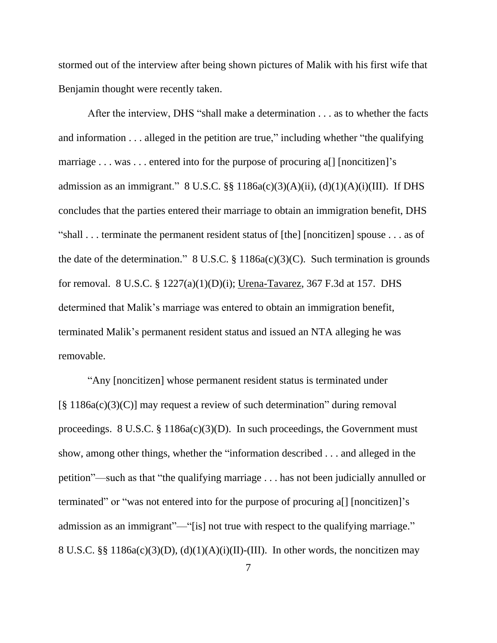stormed out of the interview after being shown pictures of Malik with his first wife that Benjamin thought were recently taken.

After the interview, DHS "shall make a determination . . . as to whether the facts and information . . . alleged in the petition are true," including whether "the qualifying marriage . . . was . . . entered into for the purpose of procuring a<sup>[]</sup> [noncitizen]'s admission as an immigrant."  $8 \text{ U.S.C.}$   $\S$ §  $1186a(c)(3)(A)(ii)$ ,  $(d)(1)(A)(i)(III)$ . If DHS concludes that the parties entered their marriage to obtain an immigration benefit, DHS "shall . . . terminate the permanent resident status of [the] [noncitizen] spouse . . . as of the date of the determination."  $8 \text{ U.S.C.} \$ § 1186a(c)(3)(C). Such termination is grounds for removal. 8 U.S.C. § 1227(a)(1)(D)(i); Urena-Tavarez, 367 F.3d at 157. DHS determined that Malik's marriage was entered to obtain an immigration benefit, terminated Malik's permanent resident status and issued an NTA alleging he was removable.

"Any [noncitizen] whose permanent resident status is terminated under [§ 1186a(c)(3)(C)] may request a review of such determination" during removal proceedings. 8 U.S.C.  $\S$  1186a(c)(3)(D). In such proceedings, the Government must show, among other things, whether the "information described . . . and alleged in the petition"—such as that "the qualifying marriage . . . has not been judicially annulled or terminated" or "was not entered into for the purpose of procuring a[] [noncitizen]'s admission as an immigrant"—"[is] not true with respect to the qualifying marriage." 8 U.S.C. §§ 1186a(c)(3)(D), (d)(1)(A)(i)(II)-(III). In other words, the noncitizen may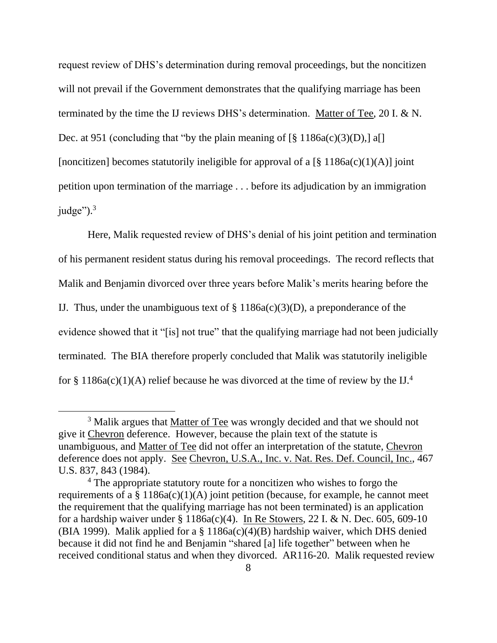request review of DHS's determination during removal proceedings, but the noncitizen will not prevail if the Government demonstrates that the qualifying marriage has been terminated by the time the IJ reviews DHS's determination. Matter of Tee, 20 I. & N. Dec. at 951 (concluding that "by the plain meaning of  $\lceil \frac{8}{9} \cdot 1186a(c)(3)(D)$ ,  $\lceil \frac{8}{9} \rceil$ [noncitizen] becomes statutorily ineligible for approval of a  $\lceil \frac{8}{3} \rceil 186a(c)(1)(A)\rceil$  joint petition upon termination of the marriage . . . before its adjudication by an immigration judge" $)$ .<sup>3</sup>

Here, Malik requested review of DHS's denial of his joint petition and termination of his permanent resident status during his removal proceedings. The record reflects that Malik and Benjamin divorced over three years before Malik's merits hearing before the IJ. Thus, under the unambiguous text of  $\S$  1186a(c)(3)(D), a preponderance of the evidence showed that it "[is] not true" that the qualifying marriage had not been judicially terminated. The BIA therefore properly concluded that Malik was statutorily ineligible for § 1186a(c)(1)(A) relief because he was divorced at the time of review by the IJ.<sup>4</sup>

<sup>&</sup>lt;sup>3</sup> Malik argues that Matter of Tee was wrongly decided and that we should not give it Chevron deference. However, because the plain text of the statute is unambiguous, and Matter of Tee did not offer an interpretation of the statute, Chevron deference does not apply. See Chevron, U.S.A., Inc. v. Nat. Res. Def. Council, Inc., 467 U.S. 837, 843 (1984).

<sup>&</sup>lt;sup>4</sup> The appropriate statutory route for a noncitizen who wishes to forgo the requirements of a  $\S$  1186a(c)(1)(A) joint petition (because, for example, he cannot meet the requirement that the qualifying marriage has not been terminated) is an application for a hardship waiver under  $\S 1186a(c)(4)$ . In Re Stowers, 22 I. & N. Dec. 605, 609-10 (BIA 1999). Malik applied for a  $\S$  1186a(c)(4)(B) hardship waiver, which DHS denied because it did not find he and Benjamin "shared [a] life together" between when he received conditional status and when they divorced. AR116-20. Malik requested review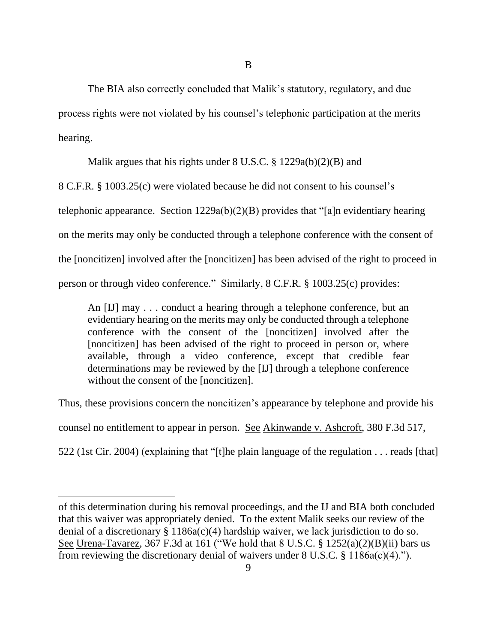B

The BIA also correctly concluded that Malik's statutory, regulatory, and due process rights were not violated by his counsel's telephonic participation at the merits hearing.

Malik argues that his rights under 8 U.S.C. § 1229a(b)(2)(B) and

8 C.F.R. § 1003.25(c) were violated because he did not consent to his counsel's

telephonic appearance. Section 1229a(b)(2)(B) provides that "[a]n evidentiary hearing

on the merits may only be conducted through a telephone conference with the consent of

the [noncitizen] involved after the [noncitizen] has been advised of the right to proceed in

person or through video conference." Similarly, 8 C.F.R. § 1003.25(c) provides:

An [IJ] may . . . conduct a hearing through a telephone conference, but an evidentiary hearing on the merits may only be conducted through a telephone conference with the consent of the [noncitizen] involved after the [noncitizen] has been advised of the right to proceed in person or, where available, through a video conference, except that credible fear determinations may be reviewed by the [IJ] through a telephone conference without the consent of the [noncitizen].

Thus, these provisions concern the noncitizen's appearance by telephone and provide his

counsel no entitlement to appear in person. See Akinwande v. Ashcroft, 380 F.3d 517,

522 (1st Cir. 2004) (explaining that "[t]he plain language of the regulation . . . reads [that]

of this determination during his removal proceedings, and the IJ and BIA both concluded that this waiver was appropriately denied. To the extent Malik seeks our review of the denial of a discretionary  $\S 1186a(c)(4)$  hardship waiver, we lack jurisdiction to do so. See Urena-Tavarez, 367 F.3d at 161 ("We hold that 8 U.S.C. § 1252(a)(2)(B)(ii) bars us from reviewing the discretionary denial of waivers under 8 U.S.C. § 1186a(c)(4).").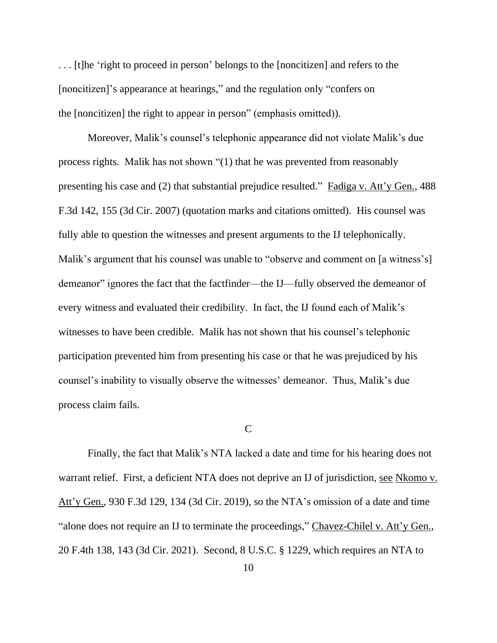. . . [t]he 'right to proceed in person' belongs to the [noncitizen] and refers to the [noncitizen]'s appearance at hearings," and the regulation only "confers on the [noncitizen] the right to appear in person" (emphasis omitted)).

Moreover, Malik's counsel's telephonic appearance did not violate Malik's due process rights. Malik has not shown "(1) that he was prevented from reasonably presenting his case and (2) that substantial prejudice resulted." Fadiga v. Att'y Gen., 488 F.3d 142, 155 (3d Cir. 2007) (quotation marks and citations omitted). His counsel was fully able to question the witnesses and present arguments to the IJ telephonically. Malik's argument that his counsel was unable to "observe and comment on [a witness's] demeanor" ignores the fact that the factfinder—the IJ—fully observed the demeanor of every witness and evaluated their credibility. In fact, the IJ found each of Malik's witnesses to have been credible. Malik has not shown that his counsel's telephonic participation prevented him from presenting his case or that he was prejudiced by his counsel's inability to visually observe the witnesses' demeanor. Thus, Malik's due process claim fails.

## C

Finally, the fact that Malik's NTA lacked a date and time for his hearing does not warrant relief. First, a deficient NTA does not deprive an IJ of jurisdiction, see Nkomo v. Att'y Gen., 930 F.3d 129, 134 (3d Cir. 2019), so the NTA's omission of a date and time "alone does not require an IJ to terminate the proceedings," Chavez-Chilel v. Att'y Gen., 20 F.4th 138, 143 (3d Cir. 2021). Second, 8 U.S.C. § 1229, which requires an NTA to